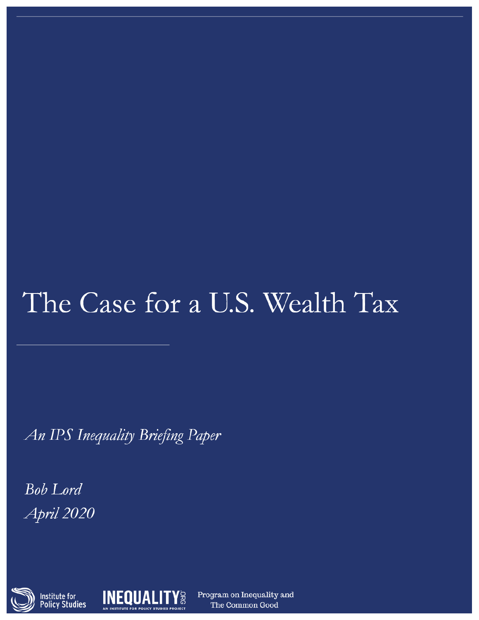# The Case for a U.S. Wealth Tax

An IPS Inequality Briefing Paper

**Bob** Lord April 2020





Program on Inequality and The Common Good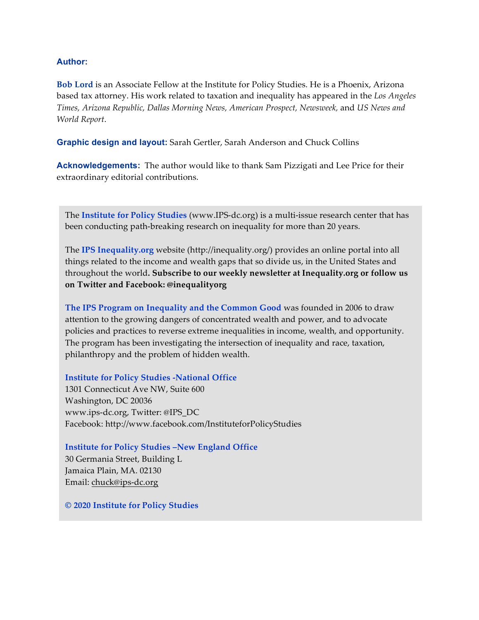#### **Author:**

**Bob Lord** is an Associate Fellow at the Institute for Policy Studies. He is a Phoenix, Arizona based tax attorney. His work related to taxation and inequality has appeared in the *Los Angeles Times, Arizona Republic, Dallas Morning News, American Prospect, Newsweek,* and *US News and World Report*.

**Graphic design and layout:** Sarah Gertler, Sarah Anderson and Chuck Collins

**Acknowledgements:** The author would like to thank Sam Pizzigati and Lee Price for their extraordinary editorial contributions.

The **Institute for Policy Studies** (www.IPS-dc.org) is a multi-issue research center that has been conducting path-breaking research on inequality for more than 20 years.

The **IPS Inequality.org** website (http://inequality.org/) provides an online portal into all things related to the income and wealth gaps that so divide us, in the United States and throughout the world**. Subscribe to our weekly newsletter at Inequality.org or follow us on Twitter and Facebook: @inequalityorg** 

**The IPS Program on Inequality and the Common Good** was founded in 2006 to draw attention to the growing dangers of concentrated wealth and power, and to advocate policies and practices to reverse extreme inequalities in income, wealth, and opportunity. The program has been investigating the intersection of inequality and race, taxation, philanthropy and the problem of hidden wealth.

**Institute for Policy Studies -National Office** 

1301 Connecticut Ave NW, Suite 600 Washington, DC 20036 www.ips-dc.org, Twitter: @IPS\_DC Facebook: http://www.facebook.com/InstituteforPolicyStudies

**Institute for Policy Studies –New England Office**  30 Germania Street, Building L Jamaica Plain, MA. 02130 Email: chuck@ips-dc.org

**© 2020 Institute for Policy Studies**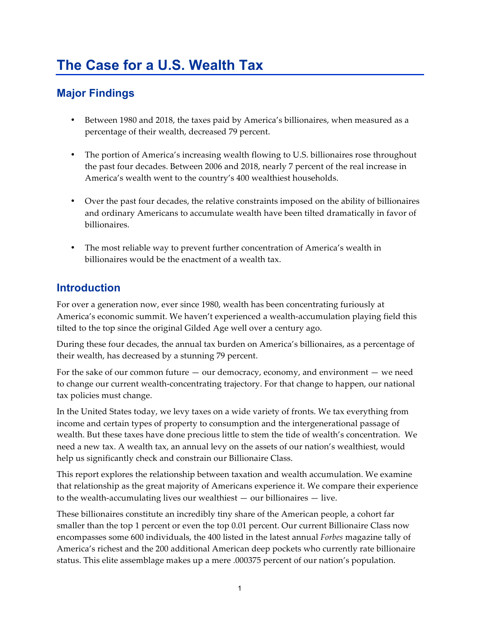# **The Case for a U.S. Wealth Tax**

## **Major Findings**

- Between 1980 and 2018, the taxes paid by America's billionaires, when measured as a percentage of their wealth, decreased 79 percent.
- The portion of America's increasing wealth flowing to U.S. billionaires rose throughout the past four decades. Between 2006 and 2018, nearly 7 percent of the real increase in America's wealth went to the country's 400 wealthiest households.
- Over the past four decades, the relative constraints imposed on the ability of billionaires and ordinary Americans to accumulate wealth have been tilted dramatically in favor of billionaires.
- The most reliable way to prevent further concentration of America's wealth in billionaires would be the enactment of a wealth tax.

### **Introduction**

For over a generation now, ever since 1980, wealth has been concentrating furiously at America's economic summit. We haven't experienced a wealth-accumulation playing field this tilted to the top since the original Gilded Age well over a century ago.

During these four decades, the annual tax burden on America's billionaires, as a percentage of their wealth, has decreased by a stunning 79 percent.

For the sake of our common future  $-$  our democracy, economy, and environment  $-$  we need to change our current wealth-concentrating trajectory. For that change to happen, our national tax policies must change.

In the United States today, we levy taxes on a wide variety of fronts. We tax everything from income and certain types of property to consumption and the intergenerational passage of wealth. But these taxes have done precious little to stem the tide of wealth's concentration. We need a new tax. A wealth tax, an annual levy on the assets of our nation's wealthiest, would help us significantly check and constrain our Billionaire Class.

This report explores the relationship between taxation and wealth accumulation. We examine that relationship as the great majority of Americans experience it. We compare their experience to the wealth-accumulating lives our wealthiest  $-$  our billionaires  $-$  live.

These billionaires constitute an incredibly tiny share of the American people, a cohort far smaller than the top 1 percent or even the top 0.01 percent. Our current Billionaire Class now encompasses some 600 individuals, the 400 listed in the latest annual *Forbes* magazine tally of America's richest and the 200 additional American deep pockets who currently rate billionaire status. This elite assemblage makes up a mere .000375 percent of our nation's population.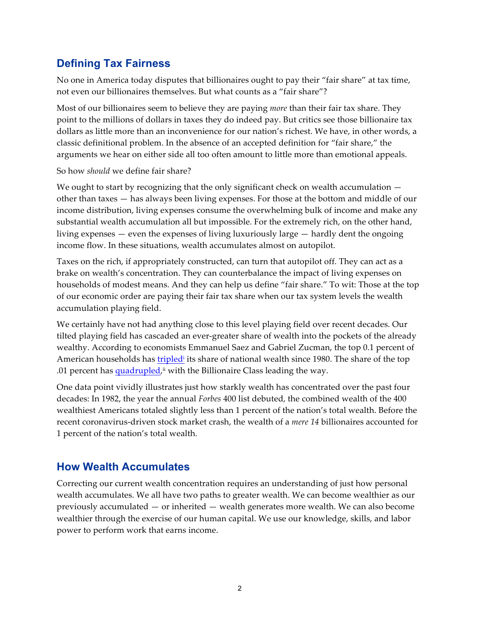### **Defining Tax Fairness**

No one in America today disputes that billionaires ought to pay their "fair share" at tax time, not even our billionaires themselves. But what counts as a "fair share"?

Most of our billionaires seem to believe they are paying *more* than their fair tax share. They point to the millions of dollars in taxes they do indeed pay. But critics see those billionaire tax dollars as little more than an inconvenience for our nation's richest. We have, in other words, a classic definitional problem. In the absence of an accepted definition for "fair share," the arguments we hear on either side all too often amount to little more than emotional appeals.

#### So how *should* we define fair share?

We ought to start by recognizing that the only significant check on wealth accumulation  $$ other than taxes — has always been living expenses. For those at the bottom and middle of our income distribution, living expenses consume the overwhelming bulk of income and make any substantial wealth accumulation all but impossible. For the extremely rich, on the other hand, living expenses — even the expenses of living luxuriously large — hardly dent the ongoing income flow. In these situations, wealth accumulates almost on autopilot.

Taxes on the rich, if appropriately constructed, can turn that autopilot off. They can act as a brake on wealth's concentration. They can counterbalance the impact of living expenses on households of modest means. And they can help us define "fair share." To wit: Those at the top of our economic order are paying their fair tax share when our tax system levels the wealth accumulation playing field.

We certainly have not had anything close to this level playing field over recent decades. Our tilted playing field has cascaded an ever-greater share of wealth into the pockets of the already wealthy. According to economists Emmanuel Saez and Gabriel Zucman, the top 0.1 percent of American households has tripled<sup>i</sup> its share of national wealth since 1980. The share of the top .01 percent has quadrupled,<sup>ii</sup> with the Billionaire Class leading the way.

One data point vividly illustrates just how starkly wealth has concentrated over the past four decades: In 1982, the year the annual *Forbes* 400 list debuted, the combined wealth of the 400 wealthiest Americans totaled slightly less than 1 percent of the nation's total wealth. Before the recent coronavirus-driven stock market crash, the wealth of a *mere 14* billionaires accounted for 1 percent of the nation's total wealth.

#### **How Wealth Accumulates**

Correcting our current wealth concentration requires an understanding of just how personal wealth accumulates. We all have two paths to greater wealth. We can become wealthier as our previously accumulated — or inherited — wealth generates more wealth. We can also become wealthier through the exercise of our human capital. We use our knowledge, skills, and labor power to perform work that earns income.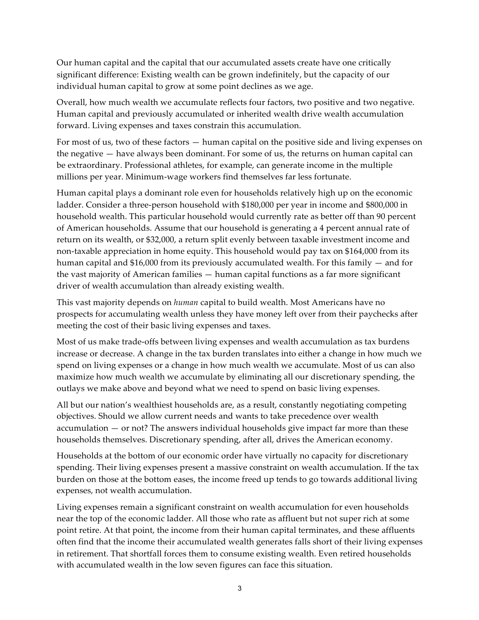Our human capital and the capital that our accumulated assets create have one critically significant difference: Existing wealth can be grown indefinitely, but the capacity of our individual human capital to grow at some point declines as we age.

Overall, how much wealth we accumulate reflects four factors, two positive and two negative. Human capital and previously accumulated or inherited wealth drive wealth accumulation forward. Living expenses and taxes constrain this accumulation.

For most of us, two of these factors — human capital on the positive side and living expenses on the negative — have always been dominant. For some of us, the returns on human capital can be extraordinary. Professional athletes, for example, can generate income in the multiple millions per year. Minimum-wage workers find themselves far less fortunate.

Human capital plays a dominant role even for households relatively high up on the economic ladder. Consider a three-person household with \$180,000 per year in income and \$800,000 in household wealth. This particular household would currently rate as better off than 90 percent of American households. Assume that our household is generating a 4 percent annual rate of return on its wealth, or \$32,000, a return split evenly between taxable investment income and non-taxable appreciation in home equity. This household would pay tax on \$164,000 from its human capital and \$16,000 from its previously accumulated wealth. For this family — and for the vast majority of American families — human capital functions as a far more significant driver of wealth accumulation than already existing wealth.

This vast majority depends on *human* capital to build wealth. Most Americans have no prospects for accumulating wealth unless they have money left over from their paychecks after meeting the cost of their basic living expenses and taxes.

Most of us make trade-offs between living expenses and wealth accumulation as tax burdens increase or decrease. A change in the tax burden translates into either a change in how much we spend on living expenses or a change in how much wealth we accumulate. Most of us can also maximize how much wealth we accumulate by eliminating all our discretionary spending, the outlays we make above and beyond what we need to spend on basic living expenses.

All but our nation's wealthiest households are, as a result, constantly negotiating competing objectives. Should we allow current needs and wants to take precedence over wealth accumulation — or not? The answers individual households give impact far more than these households themselves. Discretionary spending, after all, drives the American economy.

Households at the bottom of our economic order have virtually no capacity for discretionary spending. Their living expenses present a massive constraint on wealth accumulation. If the tax burden on those at the bottom eases, the income freed up tends to go towards additional living expenses, not wealth accumulation.

Living expenses remain a significant constraint on wealth accumulation for even households near the top of the economic ladder. All those who rate as affluent but not super rich at some point retire. At that point, the income from their human capital terminates, and these affluents often find that the income their accumulated wealth generates falls short of their living expenses in retirement. That shortfall forces them to consume existing wealth. Even retired households with accumulated wealth in the low seven figures can face this situation.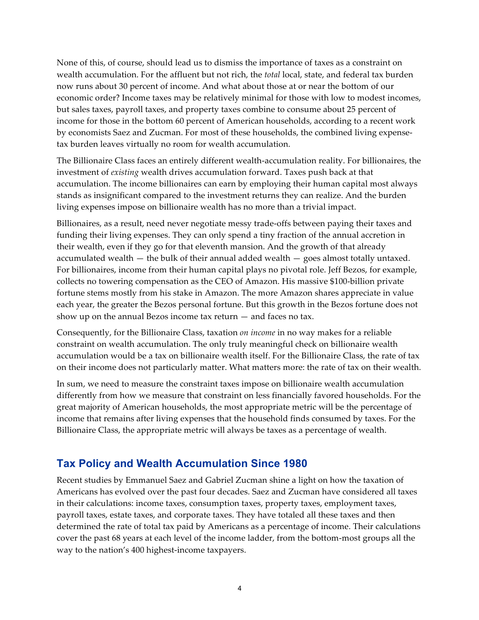None of this, of course, should lead us to dismiss the importance of taxes as a constraint on wealth accumulation. For the affluent but not rich, the *total* local, state, and federal tax burden now runs about 30 percent of income. And what about those at or near the bottom of our economic order? Income taxes may be relatively minimal for those with low to modest incomes, but sales taxes, payroll taxes, and property taxes combine to consume about 25 percent of income for those in the bottom 60 percent of American households, according to a recent work by economists Saez and Zucman. For most of these households, the combined living expensetax burden leaves virtually no room for wealth accumulation.

The Billionaire Class faces an entirely different wealth-accumulation reality. For billionaires, the investment of *existing* wealth drives accumulation forward. Taxes push back at that accumulation. The income billionaires can earn by employing their human capital most always stands as insignificant compared to the investment returns they can realize. And the burden living expenses impose on billionaire wealth has no more than a trivial impact.

Billionaires, as a result, need never negotiate messy trade-offs between paying their taxes and funding their living expenses. They can only spend a tiny fraction of the annual accretion in their wealth, even if they go for that eleventh mansion. And the growth of that already accumulated wealth — the bulk of their annual added wealth — goes almost totally untaxed. For billionaires, income from their human capital plays no pivotal role. Jeff Bezos, for example, collects no towering compensation as the CEO of Amazon. His massive \$100-billion private fortune stems mostly from his stake in Amazon. The more Amazon shares appreciate in value each year, the greater the Bezos personal fortune. But this growth in the Bezos fortune does not show up on the annual Bezos income tax return — and faces no tax.

Consequently, for the Billionaire Class, taxation *on income* in no way makes for a reliable constraint on wealth accumulation. The only truly meaningful check on billionaire wealth accumulation would be a tax on billionaire wealth itself. For the Billionaire Class, the rate of tax on their income does not particularly matter. What matters more: the rate of tax on their wealth.

In sum, we need to measure the constraint taxes impose on billionaire wealth accumulation differently from how we measure that constraint on less financially favored households. For the great majority of American households, the most appropriate metric will be the percentage of income that remains after living expenses that the household finds consumed by taxes. For the Billionaire Class, the appropriate metric will always be taxes as a percentage of wealth.

#### **Tax Policy and Wealth Accumulation Since 1980**

Recent studies by Emmanuel Saez and Gabriel Zucman shine a light on how the taxation of Americans has evolved over the past four decades. Saez and Zucman have considered all taxes in their calculations: income taxes, consumption taxes, property taxes, employment taxes, payroll taxes, estate taxes, and corporate taxes. They have totaled all these taxes and then determined the rate of total tax paid by Americans as a percentage of income. Their calculations cover the past 68 years at each level of the income ladder, from the bottom-most groups all the way to the nation's 400 highest-income taxpayers.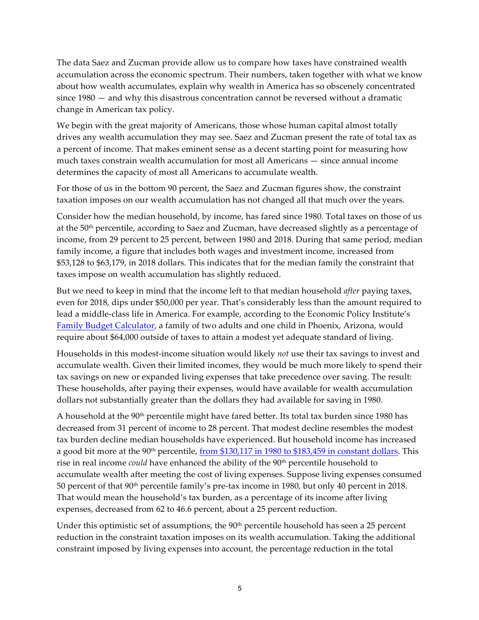The data Saez and Zucman provide allow us to compare how taxes have constrained wealth accumulation across the economic spectrum. Their numbers, taken together with what we know about how wealth accumulates, explain why wealth in America has so obscenely concentrated since 1980 — and why this disastrous concentration cannot be reversed without a dramatic change in American tax policy.

We begin with the great majority of Americans, those whose human capital almost totally drives any wealth accumulation they may see. Saez and Zucman present the rate of total tax as a percent of income. That makes eminent sense as a decent starting point for measuring how much taxes constrain wealth accumulation for most all Americans — since annual income determines the capacity of most all Americans to accumulate wealth.

For those of us in the bottom 90 percent, the Saez and Zucman figures show, the constraint taxation imposes on our wealth accumulation has not changed all that much over the years.

Consider how the median household, by income, has fared since 1980. Total taxes on those of us at the 50<sup>th</sup> percentile, according to Saez and Zucman, have decreased slightly as a percentage of income, from 29 percent to 25 percent, between 1980 and 2018. During that same period, median family income, a figure that includes both wages and investment income, increased from \$53,128 to \$63,179, in 2018 dollars. This indicates that for the median family the constraint that taxes impose on wealth accumulation has slightly reduced.

But we need to keep in mind that the income left to that median household *after* paying taxes, even for 2018, dips under \$50,000 per year. That's considerably less than the amount required to lead a middle-class life in America. For example, according to the Economic Policy Institute's Family Budget Calculator, a family of two adults and one child in Phoenix, Arizona, would require about \$64,000 outside of taxes to attain a modest yet adequate standard of living.

Households in this modest-income situation would likely *not* use their tax savings to invest and accumulate wealth. Given their limited incomes, they would be much more likely to spend their tax savings on new or expanded living expenses that take precedence over saving. The result: These households, after paying their expenses, would have available for wealth accumulation dollars not substantially greater than the dollars they had available for saving in 1980.

A household at the  $90<sup>th</sup>$  percentile might have fared better. Its total tax burden since 1980 has decreased from 31 percent of income to 28 percent. That modest decline resembles the modest tax burden decline median households have experienced. But household income has increased a good bit more at the  $90<sup>th</sup>$  percentile, from \$130,117 in 1980 to \$183,459 in constant dollars. This rise in real income *could* have enhanced the ability of the 90<sup>th</sup> percentile household to accumulate wealth after meeting the cost of living expenses. Suppose living expenses consumed 50 percent of that 90th percentile family's pre-tax income in 1980, but only 40 percent in 2018. That would mean the household's tax burden, as a percentage of its income after living expenses, decreased from 62 to 46.6 percent, about a 25 percent reduction.

Under this optimistic set of assumptions, the 90<sup>th</sup> percentile household has seen a 25 percent reduction in the constraint taxation imposes on its wealth accumulation. Taking the additional constraint imposed by living expenses into account, the percentage reduction in the total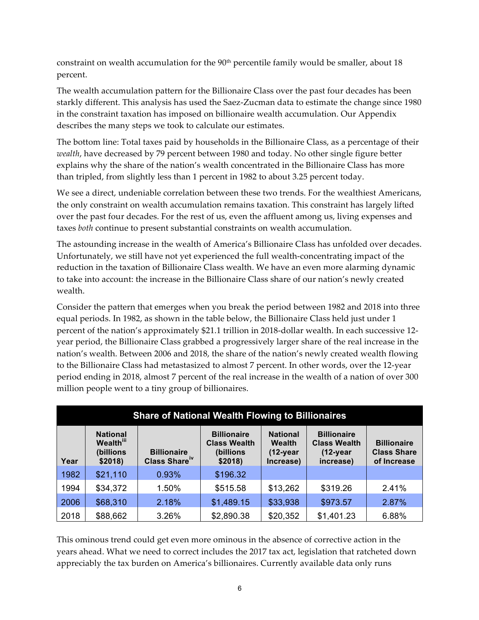constraint on wealth accumulation for the  $90<sup>th</sup>$  percentile family would be smaller, about 18 percent.

The wealth accumulation pattern for the Billionaire Class over the past four decades has been starkly different. This analysis has used the Saez-Zucman data to estimate the change since 1980 in the constraint taxation has imposed on billionaire wealth accumulation. Our Appendix describes the many steps we took to calculate our estimates.

The bottom line: Total taxes paid by households in the Billionaire Class, as a percentage of their *wealth*, have decreased by 79 percent between 1980 and today. No other single figure better explains why the share of the nation's wealth concentrated in the Billionaire Class has more than tripled, from slightly less than 1 percent in 1982 to about 3.25 percent today.

We see a direct, undeniable correlation between these two trends. For the wealthiest Americans, the only constraint on wealth accumulation remains taxation. This constraint has largely lifted over the past four decades. For the rest of us, even the affluent among us, living expenses and taxes *both* continue to present substantial constraints on wealth accumulation.

The astounding increase in the wealth of America's Billionaire Class has unfolded over decades. Unfortunately, we still have not yet experienced the full wealth-concentrating impact of the reduction in the taxation of Billionaire Class wealth. We have an even more alarming dynamic to take into account: the increase in the Billionaire Class share of our nation's newly created wealth.

Consider the pattern that emerges when you break the period between 1982 and 2018 into three equal periods. In 1982, as shown in the table below, the Billionaire Class held just under 1 percent of the nation's approximately \$21.1 trillion in 2018-dollar wealth. In each successive 12 year period, the Billionaire Class grabbed a progressively larger share of the real increase in the nation's wealth. Between 2006 and 2018, the share of the nation's newly created wealth flowing to the Billionaire Class had metastasized to almost 7 percent. In other words, over the 12-year period ending in 2018, almost 7 percent of the real increase in the wealth of a nation of over 300 million people went to a tiny group of billionaires.

| <b>Share of National Wealth Flowing to Billionaires</b> |                                                                         |                                                 |                                                                    |                                                                |                                                                         |                                                         |
|---------------------------------------------------------|-------------------------------------------------------------------------|-------------------------------------------------|--------------------------------------------------------------------|----------------------------------------------------------------|-------------------------------------------------------------------------|---------------------------------------------------------|
| Year                                                    | <b>National</b><br><b>Wealth</b> <sup>iii</sup><br>(billions<br>\$2018) | <b>Billionaire</b><br>Class Share <sup>iv</sup> | <b>Billionaire</b><br><b>Class Wealth</b><br>(billions)<br>\$2018) | <b>National</b><br><b>Wealth</b><br>$(12 - year)$<br>Increase) | <b>Billionaire</b><br><b>Class Wealth</b><br>$(12 - year)$<br>increase) | <b>Billionaire</b><br><b>Class Share</b><br>of Increase |
| 1982                                                    | \$21,110                                                                | 0.93%                                           | \$196.32                                                           |                                                                |                                                                         |                                                         |
| 1994                                                    | \$34,372                                                                | 1.50%                                           | \$515.58                                                           | \$13,262                                                       | \$319.26                                                                | 2.41%                                                   |
| 2006                                                    | \$68,310                                                                | 2.18%                                           | \$1,489.15                                                         | \$33,938                                                       | \$973.57                                                                | 2.87%                                                   |
| 2018                                                    | \$88,662                                                                | 3.26%                                           | \$2,890.38                                                         | \$20,352                                                       | \$1,401.23                                                              | 6.88%                                                   |

This ominous trend could get even more ominous in the absence of corrective action in the years ahead. What we need to correct includes the 2017 tax act, legislation that ratcheted down appreciably the tax burden on America's billionaires. Currently available data only runs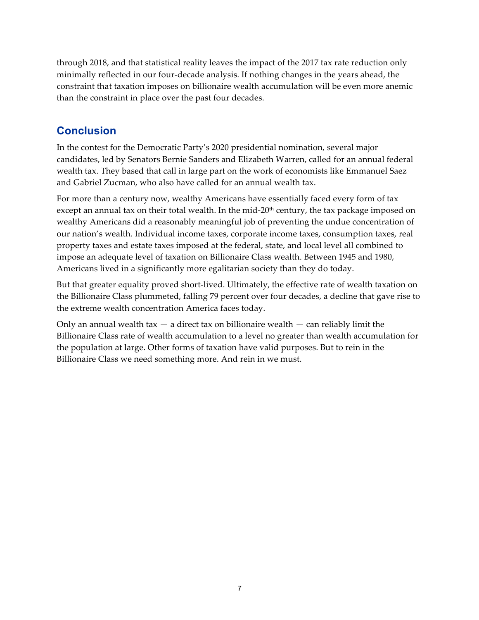through 2018, and that statistical reality leaves the impact of the 2017 tax rate reduction only minimally reflected in our four-decade analysis. If nothing changes in the years ahead, the constraint that taxation imposes on billionaire wealth accumulation will be even more anemic than the constraint in place over the past four decades.

#### **Conclusion**

In the contest for the Democratic Party's 2020 presidential nomination, several major candidates, led by Senators Bernie Sanders and Elizabeth Warren, called for an annual federal wealth tax. They based that call in large part on the work of economists like Emmanuel Saez and Gabriel Zucman, who also have called for an annual wealth tax.

For more than a century now, wealthy Americans have essentially faced every form of tax except an annual tax on their total wealth. In the mid-20<sup>th</sup> century, the tax package imposed on wealthy Americans did a reasonably meaningful job of preventing the undue concentration of our nation's wealth. Individual income taxes, corporate income taxes, consumption taxes, real property taxes and estate taxes imposed at the federal, state, and local level all combined to impose an adequate level of taxation on Billionaire Class wealth. Between 1945 and 1980, Americans lived in a significantly more egalitarian society than they do today.

But that greater equality proved short-lived. Ultimately, the effective rate of wealth taxation on the Billionaire Class plummeted, falling 79 percent over four decades, a decline that gave rise to the extreme wealth concentration America faces today.

Only an annual wealth tax  $-$  a direct tax on billionaire wealth  $-$  can reliably limit the Billionaire Class rate of wealth accumulation to a level no greater than wealth accumulation for the population at large. Other forms of taxation have valid purposes. But to rein in the Billionaire Class we need something more. And rein in we must.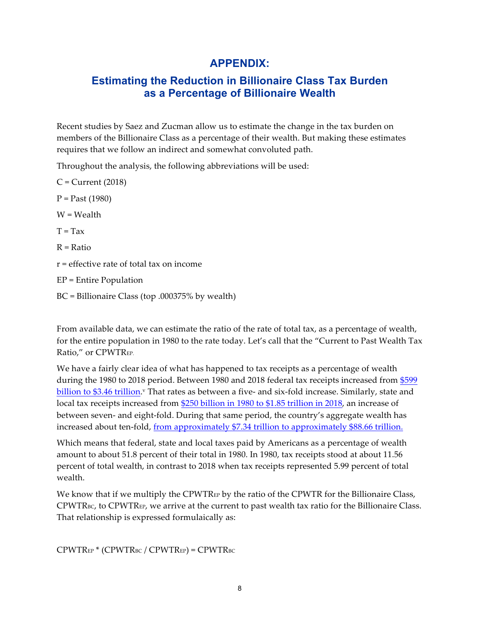#### **APPENDIX:**

#### **Estimating the Reduction in Billionaire Class Tax Burden as a Percentage of Billionaire Wealth**

Recent studies by Saez and Zucman allow us to estimate the change in the tax burden on members of the Billionaire Class as a percentage of their wealth. But making these estimates requires that we follow an indirect and somewhat convoluted path.

Throughout the analysis, the following abbreviations will be used:

 $C =$ Current (2018)  $P = Past (1980)$ W = Wealth  $T = Tax$  $R = Ratio$ r = effective rate of total tax on income EP = Entire Population BC = Billionaire Class (top .000375% by wealth)

From available data, we can estimate the ratio of the rate of total tax, as a percentage of wealth, for the entire population in 1980 to the rate today. Let's call that the "Current to Past Wealth Tax Ratio," or CPWTREP.

We have a fairly clear idea of what has happened to tax receipts as a percentage of wealth during the 1980 to 2018 period. Between 1980 and 2018 federal tax receipts increased from \$599 billion to \$3.46 trillion.<sup>v</sup> That rates as between a five- and six-fold increase. Similarly, state and local tax receipts increased from \$250 billion in 1980 to \$1.85 trillion in 2018, an increase of between seven- and eight-fold. During that same period, the country's aggregate wealth has increased about ten-fold, from approximately \$7.34 trillion to approximately \$88.66 trillion.

Which means that federal, state and local taxes paid by Americans as a percentage of wealth amount to about 51.8 percent of their total in 1980. In 1980, tax receipts stood at about 11.56 percent of total wealth, in contrast to 2018 when tax receipts represented 5.99 percent of total wealth.

We know that if we multiply the CPWTR<sub>EP</sub> by the ratio of the CPWTR for the Billionaire Class, CPWTRBC, to CPWTREP, we arrive at the current to past wealth tax ratio for the Billionaire Class. That relationship is expressed formulaically as:

CPWTREP \* (CPWTRBC / CPWTREP) = CPWTRBC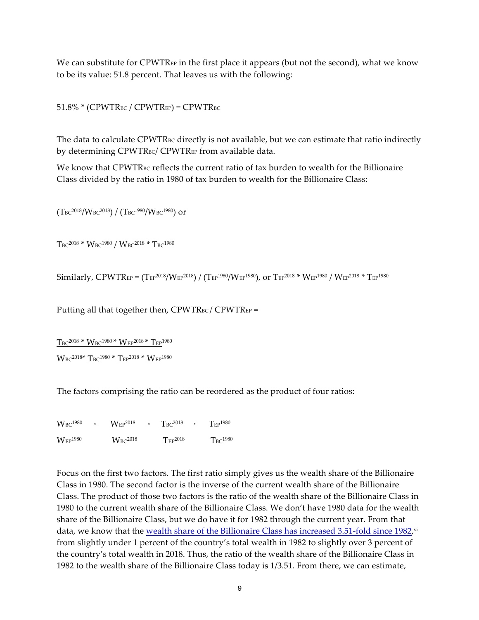We can substitute for CPWTR<sub>EP</sub> in the first place it appears (but not the second), what we know to be its value: 51.8 percent. That leaves us with the following:

 $51.8\%$  \* (CPWTR<sub>BC</sub> / CPWTR<sub>EP</sub>) = CPWTR<sub>BC</sub>

The data to calculate CPWTR<sub>BC</sub> directly is not available, but we can estimate that ratio indirectly by determining CPWTRBC/ CPWTREP from available data.

We know that CPWTR<sub>BC</sub> reflects the current ratio of tax burden to wealth for the Billionaire Class divided by the ratio in 1980 of tax burden to wealth for the Billionaire Class:

(TBC2018/WBC2018) / (TBC1980/WBC1980) or

 $T_{BC}^{2018}$  \*  $W_{BC}^{1980}$  /  $W_{BC}^{2018}$  \*  $T_{BC}^{1980}$ 

Similarly, CPWTREP =  $(T_{EP}^{2018}/W_{EP}^{2018}) / (T_{EP}^{1980}/W_{EP}^{1980})$ , or  $T_{EP}^{2018} * W_{EP}^{1980} / W_{EP}^{2018} * T_{EP}^{1980}$ 

Putting all that together then,  $CPWTR_{BC} / CPWTR_{EP} =$ 

 $T_{BC}^{2018}$  \*  $W_{BC}^{1980}$  \*  $W_{EP}^{2018}$  \*  $T_{EP}^{1980}$ 

 $W_{BC}^{2018*}$  T<sub>BC</sub><sup>1980</sup> \* T<sub>EP</sub><sup>2018</sup> \*  $W_{EP}^{1980}$ 

The factors comprising the ratio can be reordered as the product of four ratios:

 $W_{BC}^{1980}$  \*  $W_{EP}^{2018}$  \*  $T_{BC}^{2018}$  \*  $T_{EP}^{1980}$  $W_{EP}$ <sup>1980</sup>  $W_{BC}$ <sup>2018</sup>  $T_{EP}$ <sup>2018</sup>  $T_{BC}$ <sup>1980</sup>

Focus on the first two factors. The first ratio simply gives us the wealth share of the Billionaire Class in 1980. The second factor is the inverse of the current wealth share of the Billionaire Class. The product of those two factors is the ratio of the wealth share of the Billionaire Class in 1980 to the current wealth share of the Billionaire Class. We don't have 1980 data for the wealth share of the Billionaire Class, but we do have it for 1982 through the current year. From that data, we know that the wealth share of the Billionaire Class has increased 3.51-fold since 1982,<sup>vi</sup> from slightly under 1 percent of the country's total wealth in 1982 to slightly over 3 percent of the country's total wealth in 2018. Thus, the ratio of the wealth share of the Billionaire Class in 1982 to the wealth share of the Billionaire Class today is 1/3.51. From there, we can estimate,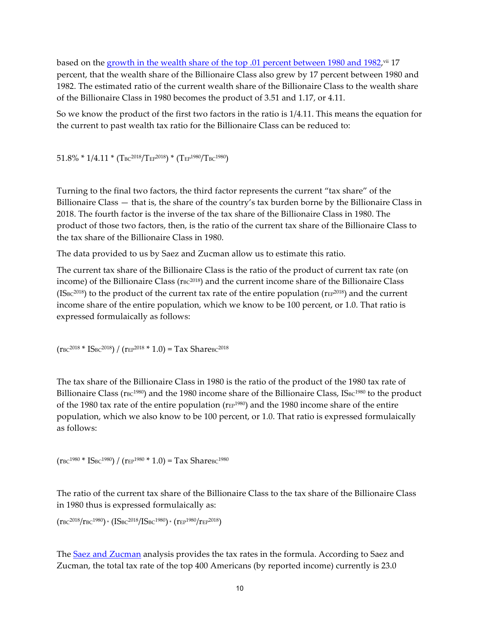based on the growth in the wealth share of the top .01 percent between 1980 and 1982,<sup>vii</sup> 17 percent, that the wealth share of the Billionaire Class also grew by 17 percent between 1980 and 1982. The estimated ratio of the current wealth share of the Billionaire Class to the wealth share of the Billionaire Class in 1980 becomes the product of 3.51 and 1.17, or 4.11.

So we know the product of the first two factors in the ratio is 1/4.11. This means the equation for the current to past wealth tax ratio for the Billionaire Class can be reduced to:

 $51.8\% * 1/4.11 * (T_{BC}^{2018}/T_{EP}^{2018}) * (T_{EP}^{1980}/T_{BC}^{1980})$ 

Turning to the final two factors, the third factor represents the current "tax share" of the Billionaire Class — that is, the share of the country's tax burden borne by the Billionaire Class in 2018. The fourth factor is the inverse of the tax share of the Billionaire Class in 1980. The product of those two factors, then, is the ratio of the current tax share of the Billionaire Class to the tax share of the Billionaire Class in 1980.

The data provided to us by Saez and Zucman allow us to estimate this ratio.

The current tax share of the Billionaire Class is the ratio of the product of current tax rate (on income) of the Billionaire Class ( $r_{BC}^{2018}$ ) and the current income share of the Billionaire Class  $(ISBC<sup>2018</sup>)$  to the product of the current tax rate of the entire population ( $rEF<sup>2018</sup>$ ) and the current income share of the entire population, which we know to be 100 percent, or 1.0. That ratio is expressed formulaically as follows:

 $(r_{BC}^{2018} * IS_{BC}^{2018}) / (r_{EP}^{2018} * 1.0) = Tax Sharesc^{2018}$ 

The tax share of the Billionaire Class in 1980 is the ratio of the product of the 1980 tax rate of Billionaire Class ( $\text{r}_{\text{BC}}^{1980}$ ) and the 1980 income share of the Billionaire Class, IS $\text{sc}^{1980}$  to the product of the 1980 tax rate of the entire population ( $r_{EP}^{1980}$ ) and the 1980 income share of the entire population, which we also know to be 100 percent, or 1.0. That ratio is expressed formulaically as follows:

 $(r_{BC}^{1980} * IS_{BC}^{1980}) / (r_{EP}^{1980} * 1.0) = Tax Sharesc^{1980}$ 

The ratio of the current tax share of the Billionaire Class to the tax share of the Billionaire Class in 1980 thus is expressed formulaically as:

```
(r_{BC}^{2018}/r_{BC}^{1980}) * (IS_{BC}^{2018}/IS_{BC}^{1980}) * (r_{EP}^{1980}/r_{EP}^{2018})
```
The Saez and Zucman analysis provides the tax rates in the formula. According to Saez and Zucman, the total tax rate of the top 400 Americans (by reported income) currently is 23.0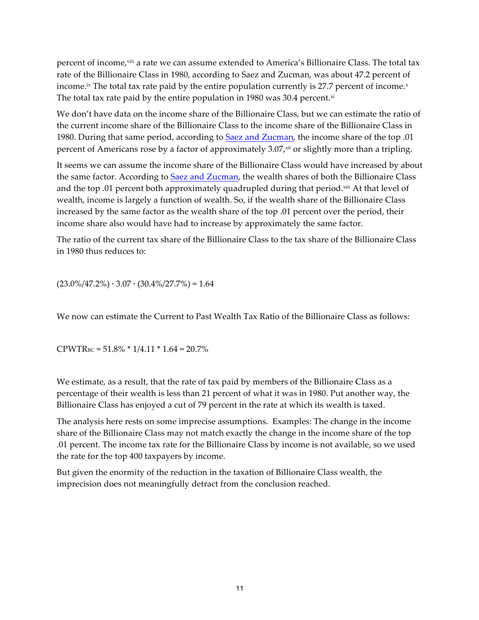percent of income,viii a rate we can assume extended to America's Billionaire Class. The total tax rate of the Billionaire Class in 1980, according to Saez and Zucman, was about 47.2 percent of income.<sup>ix</sup> The total tax rate paid by the entire population currently is 27.7 percent of income.<sup>x</sup> The total tax rate paid by the entire population in 1980 was 30.4 percent. $x$ <sup>i</sup>

We don't have data on the income share of the Billionaire Class, but we can estimate the ratio of the current income share of the Billionaire Class to the income share of the Billionaire Class in 1980. During that same period, according to Saez and Zucman, the income share of the top .01 percent of Americans rose by a factor of approximately  $3.07<sub>x</sub>$  or slightly more than a tripling.

It seems we can assume the income share of the Billionaire Class would have increased by about the same factor. According to Saez and Zucman, the wealth shares of both the Billionaire Class and the top .01 percent both approximately quadrupled during that period. $x^{iii}$  At that level of wealth, income is largely a function of wealth. So, if the wealth share of the Billionaire Class increased by the same factor as the wealth share of the top .01 percent over the period, their income share also would have had to increase by approximately the same factor.

The ratio of the current tax share of the Billionaire Class to the tax share of the Billionaire Class in 1980 thus reduces to:

 $(23.0\%/47.2\%) * 3.07 * (30.4\%/27.7\%) = 1.64$ 

We now can estimate the Current to Past Wealth Tax Ratio of the Billionaire Class as follows:

 $CPWTR_{BC} = 51.8\% * 1/4.11 * 1.64 = 20.7\%$ 

We estimate, as a result, that the rate of tax paid by members of the Billionaire Class as a percentage of their wealth is less than 21 percent of what it was in 1980. Put another way, the Billionaire Class has enjoyed a cut of 79 percent in the rate at which its wealth is taxed.

The analysis here rests on some imprecise assumptions. Examples: The change in the income share of the Billionaire Class may not match exactly the change in the income share of the top .01 percent. The income tax rate for the Billionaire Class by income is not available, so we used the rate for the top 400 taxpayers by income.

But given the enormity of the reduction in the taxation of Billionaire Class wealth, the imprecision does not meaningfully detract from the conclusion reached.